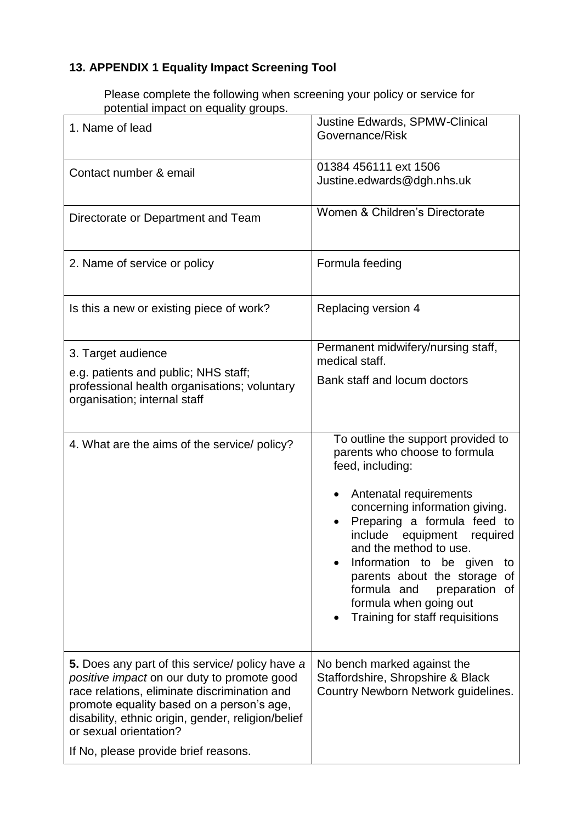## **13. APPENDIX 1 Equality Impact Screening Tool**

Please complete the following when screening your policy or service for potential impact on equality groups.

| 1. Name of lead                                                                                                                                                                                                                                                                                                            | Justine Edwards, SPMW-Clinical<br>Governance/Risk                                                                                                                                                                                                                                                                                                                                                                                  |
|----------------------------------------------------------------------------------------------------------------------------------------------------------------------------------------------------------------------------------------------------------------------------------------------------------------------------|------------------------------------------------------------------------------------------------------------------------------------------------------------------------------------------------------------------------------------------------------------------------------------------------------------------------------------------------------------------------------------------------------------------------------------|
| Contact number & email                                                                                                                                                                                                                                                                                                     | 01384 456111 ext 1506<br>Justine.edwards@dgh.nhs.uk                                                                                                                                                                                                                                                                                                                                                                                |
| Directorate or Department and Team                                                                                                                                                                                                                                                                                         | Women & Children's Directorate                                                                                                                                                                                                                                                                                                                                                                                                     |
| 2. Name of service or policy                                                                                                                                                                                                                                                                                               | Formula feeding                                                                                                                                                                                                                                                                                                                                                                                                                    |
| Is this a new or existing piece of work?                                                                                                                                                                                                                                                                                   | Replacing version 4                                                                                                                                                                                                                                                                                                                                                                                                                |
| 3. Target audience<br>e.g. patients and public; NHS staff;<br>professional health organisations; voluntary<br>organisation; internal staff                                                                                                                                                                                 | Permanent midwifery/nursing staff,<br>medical staff.<br>Bank staff and locum doctors                                                                                                                                                                                                                                                                                                                                               |
| 4. What are the aims of the service/ policy?                                                                                                                                                                                                                                                                               | To outline the support provided to<br>parents who choose to formula<br>feed, including:<br>Antenatal requirements<br>concerning information giving.<br>Preparing a formula feed to<br>$\bullet$<br>include<br>equipment<br>required<br>and the method to use.<br>Information to be given<br>to<br>parents about the storage<br>Οf<br>formula and<br>preparation<br>0f<br>formula when going out<br>Training for staff requisitions |
| <b>5.</b> Does any part of this service/ policy have a<br>positive impact on our duty to promote good<br>race relations, eliminate discrimination and<br>promote equality based on a person's age,<br>disability, ethnic origin, gender, religion/belief<br>or sexual orientation?<br>If No, please provide brief reasons. | No bench marked against the<br>Staffordshire, Shropshire & Black<br>Country Newborn Network guidelines.                                                                                                                                                                                                                                                                                                                            |